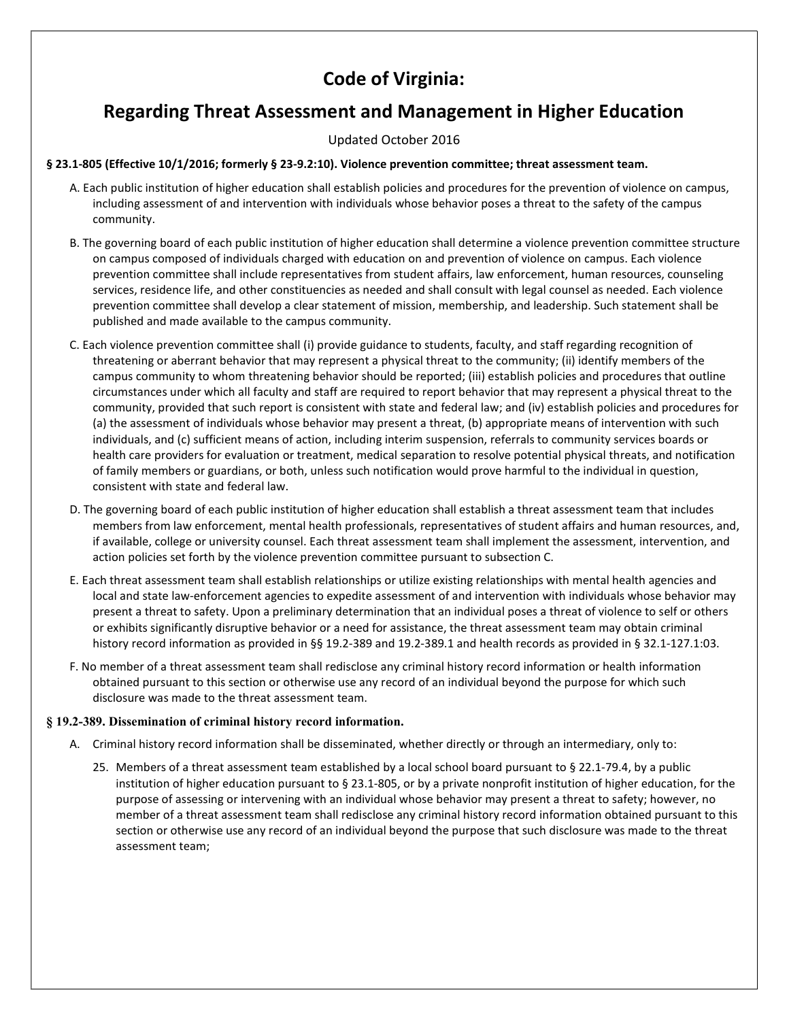# Code of Virginia:

# Regarding Threat Assessment and Management in Higher Education

Updated October 2016

## § 23.1-805 (Effective 10/1/2016; formerly § 23-9.2:10). Violence prevention committee; threat assessment team.

- A. Each public institution of higher education shall establish policies and procedures for the prevention of violence on campus, including assessment of and intervention with individuals whose behavior poses a threat to the safety of the campus community.
- B. The governing board of each public institution of higher education shall determine a violence prevention committee structure on campus composed of individuals charged with education on and prevention of violence on campus. Each violence prevention committee shall include representatives from student affairs, law enforcement, human resources, counseling services, residence life, and other constituencies as needed and shall consult with legal counsel as needed. Each violence prevention committee shall develop a clear statement of mission, membership, and leadership. Such statement shall be published and made available to the campus community.
- C. Each violence prevention committee shall (i) provide guidance to students, faculty, and staff regarding recognition of threatening or aberrant behavior that may represent a physical threat to the community; (ii) identify members of the campus community to whom threatening behavior should be reported; (iii) establish policies and procedures that outline circumstances under which all faculty and staff are required to report behavior that may represent a physical threat to the community, provided that such report is consistent with state and federal law; and (iv) establish policies and procedures for (a) the assessment of individuals whose behavior may present a threat, (b) appropriate means of intervention with such individuals, and (c) sufficient means of action, including interim suspension, referrals to community services boards or health care providers for evaluation or treatment, medical separation to resolve potential physical threats, and notification of family members or guardians, or both, unless such notification would prove harmful to the individual in question, consistent with state and federal law.
- D. The governing board of each public institution of higher education shall establish a threat assessment team that includes members from law enforcement, mental health professionals, representatives of student affairs and human resources, and, if available, college or university counsel. Each threat assessment team shall implement the assessment, intervention, and action policies set forth by the violence prevention committee pursuant to subsection C.
- E. Each threat assessment team shall establish relationships or utilize existing relationships with mental health agencies and local and state law-enforcement agencies to expedite assessment of and intervention with individuals whose behavior may present a threat to safety. Upon a preliminary determination that an individual poses a threat of violence to self or others or exhibits significantly disruptive behavior or a need for assistance, the threat assessment team may obtain criminal history record information as provided in §§ 19.2-389 and 19.2-389.1 and health records as provided in § 32.1-127.1:03.
- F. No member of a threat assessment team shall redisclose any criminal history record information or health information obtained pursuant to this section or otherwise use any record of an individual beyond the purpose for which such disclosure was made to the threat assessment team.

# § 19.2-389. Dissemination of criminal history record information.

- A. Criminal history record information shall be disseminated, whether directly or through an intermediary, only to:
	- 25. Members of a threat assessment team established by a local school board pursuant to § 22.1-79.4, by a public institution of higher education pursuant to § 23.1-805, or by a private nonprofit institution of higher education, for the purpose of assessing or intervening with an individual whose behavior may present a threat to safety; however, no member of a threat assessment team shall redisclose any criminal history record information obtained pursuant to this section or otherwise use any record of an individual beyond the purpose that such disclosure was made to the threat assessment team;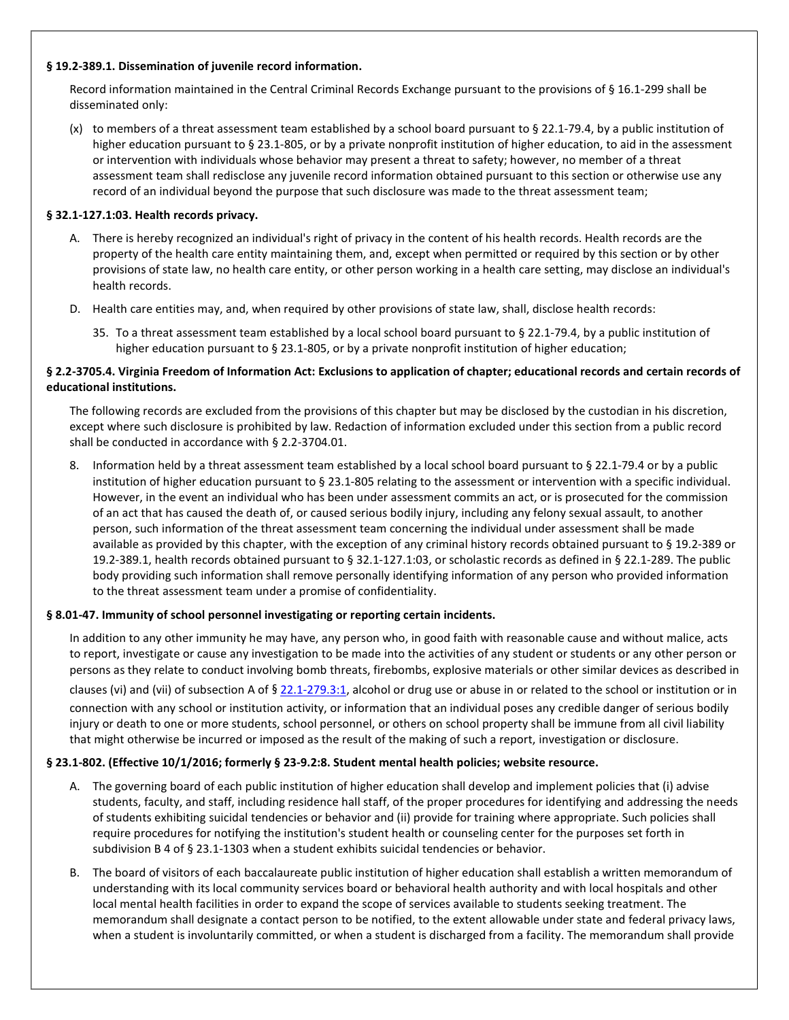#### § 19.2-389.1. Dissemination of juvenile record information.

Record information maintained in the Central Criminal Records Exchange pursuant to the provisions of § 16.1-299 shall be disseminated only:

(x) to members of a threat assessment team established by a school board pursuant to  $\S 22.1$ -79.4, by a public institution of higher education pursuant to § 23.1-805, or by a private nonprofit institution of higher education, to aid in the assessment or intervention with individuals whose behavior may present a threat to safety; however, no member of a threat assessment team shall redisclose any juvenile record information obtained pursuant to this section or otherwise use any record of an individual beyond the purpose that such disclosure was made to the threat assessment team;

## § 32.1-127.1:03. Health records privacy.

- A. There is hereby recognized an individual's right of privacy in the content of his health records. Health records are the property of the health care entity maintaining them, and, except when permitted or required by this section or by other provisions of state law, no health care entity, or other person working in a health care setting, may disclose an individual's health records.
- D. Health care entities may, and, when required by other provisions of state law, shall, disclose health records:
	- 35. To a threat assessment team established by a local school board pursuant to § 22.1-79.4, by a public institution of higher education pursuant to § 23.1-805, or by a private nonprofit institution of higher education;

## § 2.2-3705.4. Virginia Freedom of Information Act: Exclusions to application of chapter; educational records and certain records of educational institutions.

The following records are excluded from the provisions of this chapter but may be disclosed by the custodian in his discretion, except where such disclosure is prohibited by law. Redaction of information excluded under this section from a public record shall be conducted in accordance with § 2.2-3704.01.

8. Information held by a threat assessment team established by a local school board pursuant to § 22.1-79.4 or by a public institution of higher education pursuant to § 23.1-805 relating to the assessment or intervention with a specific individual. However, in the event an individual who has been under assessment commits an act, or is prosecuted for the commission of an act that has caused the death of, or caused serious bodily injury, including any felony sexual assault, to another person, such information of the threat assessment team concerning the individual under assessment shall be made available as provided by this chapter, with the exception of any criminal history records obtained pursuant to § 19.2-389 or 19.2-389.1, health records obtained pursuant to § 32.1-127.1:03, or scholastic records as defined in § 22.1-289. The public body providing such information shall remove personally identifying information of any person who provided information to the threat assessment team under a promise of confidentiality.

### § 8.01-47. Immunity of school personnel investigating or reporting certain incidents.

In addition to any other immunity he may have, any person who, in good faith with reasonable cause and without malice, acts to report, investigate or cause any investigation to be made into the activities of any student or students or any other person or persons as they relate to conduct involving bomb threats, firebombs, explosive materials or other similar devices as described in clauses (vi) and (vii) of subsection A of § 22.1-279.3:1, alcohol or drug use or abuse in or related to the school or institution or in connection with any school or institution activity, or information that an individual poses any credible danger of serious bodily injury or death to one or more students, school personnel, or others on school property shall be immune from all civil liability that might otherwise be incurred or imposed as the result of the making of such a report, investigation or disclosure.

# § 23.1-802. (Effective 10/1/2016; formerly § 23-9.2:8. Student mental health policies; website resource.

- A. The governing board of each public institution of higher education shall develop and implement policies that (i) advise students, faculty, and staff, including residence hall staff, of the proper procedures for identifying and addressing the needs of students exhibiting suicidal tendencies or behavior and (ii) provide for training where appropriate. Such policies shall require procedures for notifying the institution's student health or counseling center for the purposes set forth in subdivision B 4 of § 23.1-1303 when a student exhibits suicidal tendencies or behavior.
- B. The board of visitors of each baccalaureate public institution of higher education shall establish a written memorandum of understanding with its local community services board or behavioral health authority and with local hospitals and other local mental health facilities in order to expand the scope of services available to students seeking treatment. The memorandum shall designate a contact person to be notified, to the extent allowable under state and federal privacy laws, when a student is involuntarily committed, or when a student is discharged from a facility. The memorandum shall provide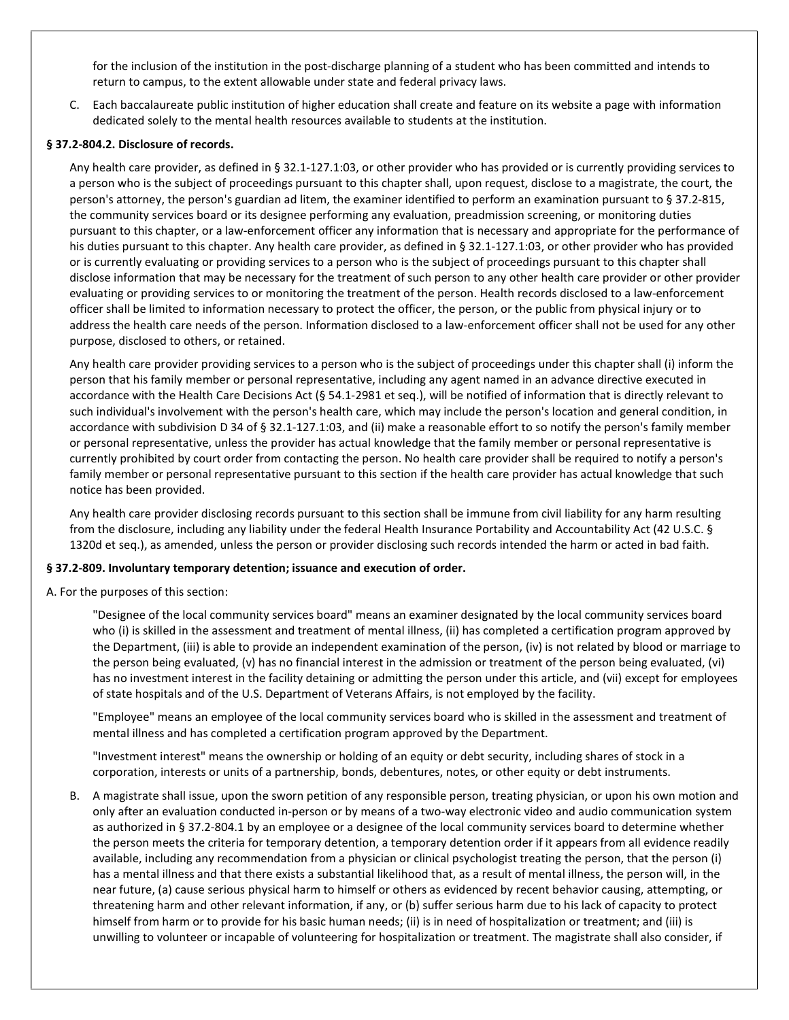for the inclusion of the institution in the post-discharge planning of a student who has been committed and intends to return to campus, to the extent allowable under state and federal privacy laws.

C. Each baccalaureate public institution of higher education shall create and feature on its website a page with information dedicated solely to the mental health resources available to students at the institution.

#### § 37.2-804.2. Disclosure of records.

Any health care provider, as defined in § 32.1-127.1:03, or other provider who has provided or is currently providing services to a person who is the subject of proceedings pursuant to this chapter shall, upon request, disclose to a magistrate, the court, the person's attorney, the person's guardian ad litem, the examiner identified to perform an examination pursuant to § 37.2-815, the community services board or its designee performing any evaluation, preadmission screening, or monitoring duties pursuant to this chapter, or a law-enforcement officer any information that is necessary and appropriate for the performance of his duties pursuant to this chapter. Any health care provider, as defined in § 32.1-127.1:03, or other provider who has provided or is currently evaluating or providing services to a person who is the subject of proceedings pursuant to this chapter shall disclose information that may be necessary for the treatment of such person to any other health care provider or other provider evaluating or providing services to or monitoring the treatment of the person. Health records disclosed to a law-enforcement officer shall be limited to information necessary to protect the officer, the person, or the public from physical injury or to address the health care needs of the person. Information disclosed to a law-enforcement officer shall not be used for any other purpose, disclosed to others, or retained.

Any health care provider providing services to a person who is the subject of proceedings under this chapter shall (i) inform the person that his family member or personal representative, including any agent named in an advance directive executed in accordance with the Health Care Decisions Act (§ 54.1-2981 et seq.), will be notified of information that is directly relevant to such individual's involvement with the person's health care, which may include the person's location and general condition, in accordance with subdivision D 34 of § 32.1-127.1:03, and (ii) make a reasonable effort to so notify the person's family member or personal representative, unless the provider has actual knowledge that the family member or personal representative is currently prohibited by court order from contacting the person. No health care provider shall be required to notify a person's family member or personal representative pursuant to this section if the health care provider has actual knowledge that such notice has been provided.

Any health care provider disclosing records pursuant to this section shall be immune from civil liability for any harm resulting from the disclosure, including any liability under the federal Health Insurance Portability and Accountability Act (42 U.S.C. § 1320d et seq.), as amended, unless the person or provider disclosing such records intended the harm or acted in bad faith.

#### § 37.2-809. Involuntary temporary detention; issuance and execution of order.

A. For the purposes of this section:

"Designee of the local community services board" means an examiner designated by the local community services board who (i) is skilled in the assessment and treatment of mental illness, (ii) has completed a certification program approved by the Department, (iii) is able to provide an independent examination of the person, (iv) is not related by blood or marriage to the person being evaluated, (v) has no financial interest in the admission or treatment of the person being evaluated, (vi) has no investment interest in the facility detaining or admitting the person under this article, and (vii) except for employees of state hospitals and of the U.S. Department of Veterans Affairs, is not employed by the facility.

"Employee" means an employee of the local community services board who is skilled in the assessment and treatment of mental illness and has completed a certification program approved by the Department.

"Investment interest" means the ownership or holding of an equity or debt security, including shares of stock in a corporation, interests or units of a partnership, bonds, debentures, notes, or other equity or debt instruments.

B. A magistrate shall issue, upon the sworn petition of any responsible person, treating physician, or upon his own motion and only after an evaluation conducted in-person or by means of a two-way electronic video and audio communication system as authorized in § 37.2-804.1 by an employee or a designee of the local community services board to determine whether the person meets the criteria for temporary detention, a temporary detention order if it appears from all evidence readily available, including any recommendation from a physician or clinical psychologist treating the person, that the person (i) has a mental illness and that there exists a substantial likelihood that, as a result of mental illness, the person will, in the near future, (a) cause serious physical harm to himself or others as evidenced by recent behavior causing, attempting, or threatening harm and other relevant information, if any, or (b) suffer serious harm due to his lack of capacity to protect himself from harm or to provide for his basic human needs; (ii) is in need of hospitalization or treatment; and (iii) is unwilling to volunteer or incapable of volunteering for hospitalization or treatment. The magistrate shall also consider, if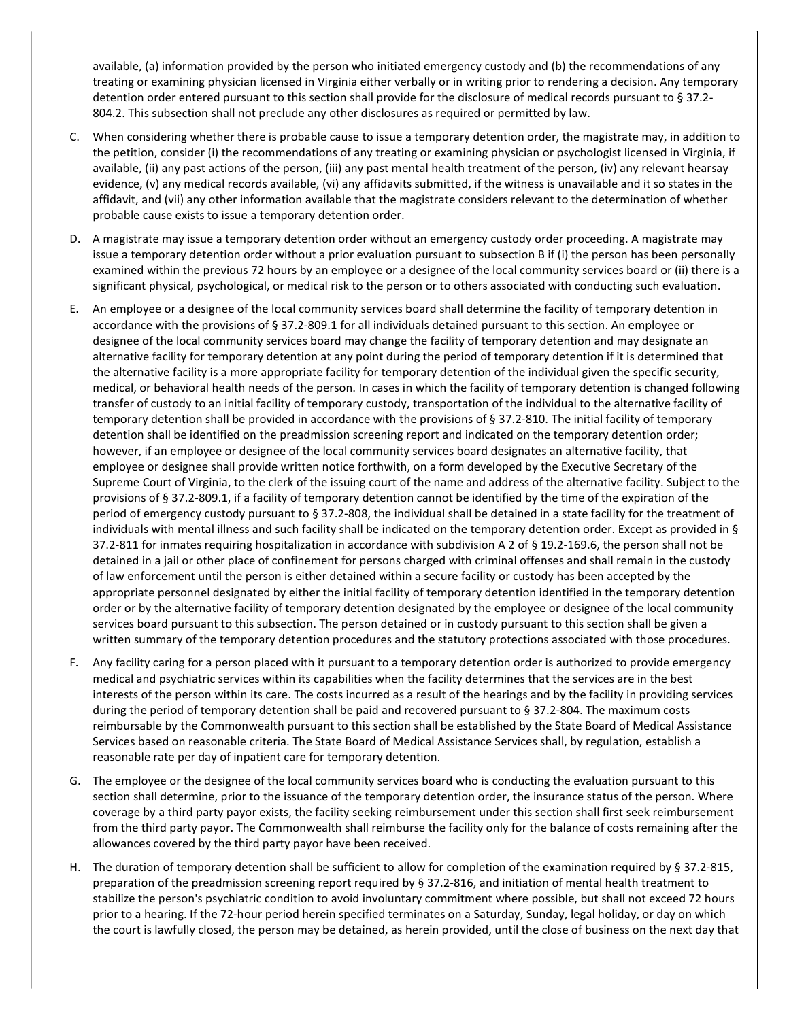available, (a) information provided by the person who initiated emergency custody and (b) the recommendations of any treating or examining physician licensed in Virginia either verbally or in writing prior to rendering a decision. Any temporary detention order entered pursuant to this section shall provide for the disclosure of medical records pursuant to § 37.2- 804.2. This subsection shall not preclude any other disclosures as required or permitted by law.

- C. When considering whether there is probable cause to issue a temporary detention order, the magistrate may, in addition to the petition, consider (i) the recommendations of any treating or examining physician or psychologist licensed in Virginia, if available, (ii) any past actions of the person, (iii) any past mental health treatment of the person, (iv) any relevant hearsay evidence, (v) any medical records available, (vi) any affidavits submitted, if the witness is unavailable and it so states in the affidavit, and (vii) any other information available that the magistrate considers relevant to the determination of whether probable cause exists to issue a temporary detention order.
- D. A magistrate may issue a temporary detention order without an emergency custody order proceeding. A magistrate may issue a temporary detention order without a prior evaluation pursuant to subsection B if (i) the person has been personally examined within the previous 72 hours by an employee or a designee of the local community services board or (ii) there is a significant physical, psychological, or medical risk to the person or to others associated with conducting such evaluation.
- E. An employee or a designee of the local community services board shall determine the facility of temporary detention in accordance with the provisions of § 37.2-809.1 for all individuals detained pursuant to this section. An employee or designee of the local community services board may change the facility of temporary detention and may designate an alternative facility for temporary detention at any point during the period of temporary detention if it is determined that the alternative facility is a more appropriate facility for temporary detention of the individual given the specific security, medical, or behavioral health needs of the person. In cases in which the facility of temporary detention is changed following transfer of custody to an initial facility of temporary custody, transportation of the individual to the alternative facility of temporary detention shall be provided in accordance with the provisions of § 37.2-810. The initial facility of temporary detention shall be identified on the preadmission screening report and indicated on the temporary detention order; however, if an employee or designee of the local community services board designates an alternative facility, that employee or designee shall provide written notice forthwith, on a form developed by the Executive Secretary of the Supreme Court of Virginia, to the clerk of the issuing court of the name and address of the alternative facility. Subject to the provisions of § 37.2-809.1, if a facility of temporary detention cannot be identified by the time of the expiration of the period of emergency custody pursuant to § 37.2-808, the individual shall be detained in a state facility for the treatment of individuals with mental illness and such facility shall be indicated on the temporary detention order. Except as provided in § 37.2-811 for inmates requiring hospitalization in accordance with subdivision A 2 of § 19.2-169.6, the person shall not be detained in a jail or other place of confinement for persons charged with criminal offenses and shall remain in the custody of law enforcement until the person is either detained within a secure facility or custody has been accepted by the appropriate personnel designated by either the initial facility of temporary detention identified in the temporary detention order or by the alternative facility of temporary detention designated by the employee or designee of the local community services board pursuant to this subsection. The person detained or in custody pursuant to this section shall be given a written summary of the temporary detention procedures and the statutory protections associated with those procedures.
- F. Any facility caring for a person placed with it pursuant to a temporary detention order is authorized to provide emergency medical and psychiatric services within its capabilities when the facility determines that the services are in the best interests of the person within its care. The costs incurred as a result of the hearings and by the facility in providing services during the period of temporary detention shall be paid and recovered pursuant to § 37.2-804. The maximum costs reimbursable by the Commonwealth pursuant to this section shall be established by the State Board of Medical Assistance Services based on reasonable criteria. The State Board of Medical Assistance Services shall, by regulation, establish a reasonable rate per day of inpatient care for temporary detention.
- G. The employee or the designee of the local community services board who is conducting the evaluation pursuant to this section shall determine, prior to the issuance of the temporary detention order, the insurance status of the person. Where coverage by a third party payor exists, the facility seeking reimbursement under this section shall first seek reimbursement from the third party payor. The Commonwealth shall reimburse the facility only for the balance of costs remaining after the allowances covered by the third party payor have been received.
- H. The duration of temporary detention shall be sufficient to allow for completion of the examination required by § 37.2-815, preparation of the preadmission screening report required by § 37.2-816, and initiation of mental health treatment to stabilize the person's psychiatric condition to avoid involuntary commitment where possible, but shall not exceed 72 hours prior to a hearing. If the 72-hour period herein specified terminates on a Saturday, Sunday, legal holiday, or day on which the court is lawfully closed, the person may be detained, as herein provided, until the close of business on the next day that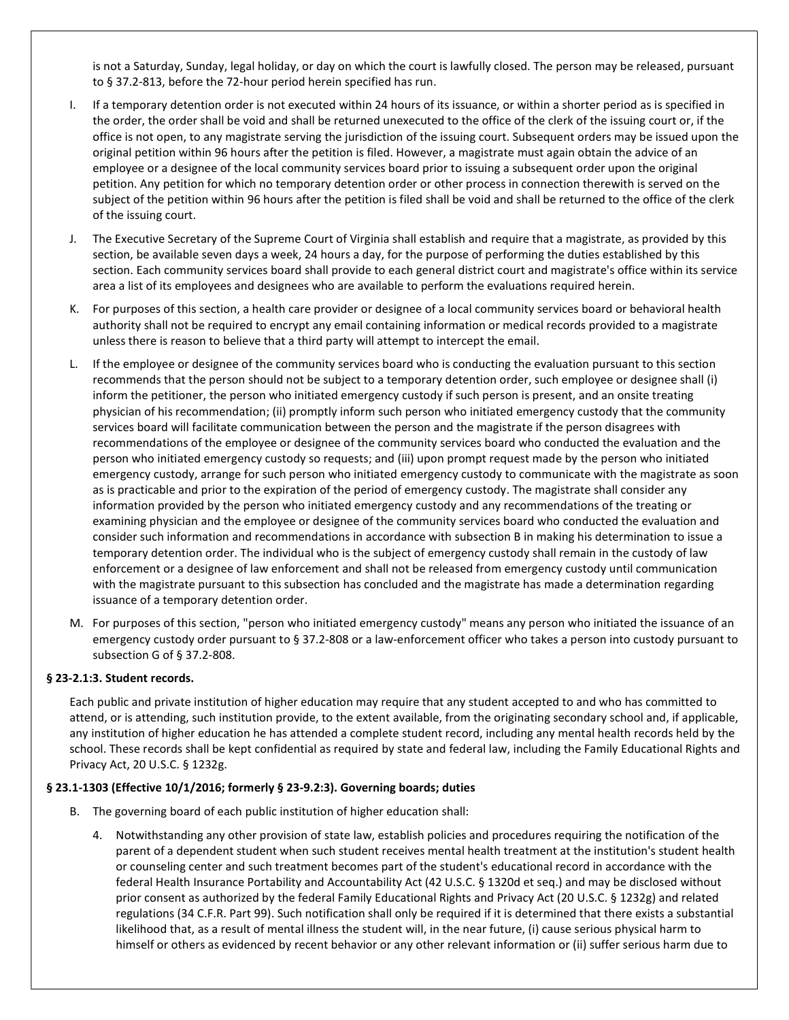is not a Saturday, Sunday, legal holiday, or day on which the court is lawfully closed. The person may be released, pursuant to § 37.2-813, before the 72-hour period herein specified has run.

- If a temporary detention order is not executed within 24 hours of its issuance, or within a shorter period as is specified in the order, the order shall be void and shall be returned unexecuted to the office of the clerk of the issuing court or, if the office is not open, to any magistrate serving the jurisdiction of the issuing court. Subsequent orders may be issued upon the original petition within 96 hours after the petition is filed. However, a magistrate must again obtain the advice of an employee or a designee of the local community services board prior to issuing a subsequent order upon the original petition. Any petition for which no temporary detention order or other process in connection therewith is served on the subject of the petition within 96 hours after the petition is filed shall be void and shall be returned to the office of the clerk of the issuing court.
- J. The Executive Secretary of the Supreme Court of Virginia shall establish and require that a magistrate, as provided by this section, be available seven days a week, 24 hours a day, for the purpose of performing the duties established by this section. Each community services board shall provide to each general district court and magistrate's office within its service area a list of its employees and designees who are available to perform the evaluations required herein.
- K. For purposes of this section, a health care provider or designee of a local community services board or behavioral health authority shall not be required to encrypt any email containing information or medical records provided to a magistrate unless there is reason to believe that a third party will attempt to intercept the email.
- L. If the employee or designee of the community services board who is conducting the evaluation pursuant to this section recommends that the person should not be subject to a temporary detention order, such employee or designee shall (i) inform the petitioner, the person who initiated emergency custody if such person is present, and an onsite treating physician of his recommendation; (ii) promptly inform such person who initiated emergency custody that the community services board will facilitate communication between the person and the magistrate if the person disagrees with recommendations of the employee or designee of the community services board who conducted the evaluation and the person who initiated emergency custody so requests; and (iii) upon prompt request made by the person who initiated emergency custody, arrange for such person who initiated emergency custody to communicate with the magistrate as soon as is practicable and prior to the expiration of the period of emergency custody. The magistrate shall consider any information provided by the person who initiated emergency custody and any recommendations of the treating or examining physician and the employee or designee of the community services board who conducted the evaluation and consider such information and recommendations in accordance with subsection B in making his determination to issue a temporary detention order. The individual who is the subject of emergency custody shall remain in the custody of law enforcement or a designee of law enforcement and shall not be released from emergency custody until communication with the magistrate pursuant to this subsection has concluded and the magistrate has made a determination regarding issuance of a temporary detention order.
- M. For purposes of this section, "person who initiated emergency custody" means any person who initiated the issuance of an emergency custody order pursuant to § 37.2-808 or a law-enforcement officer who takes a person into custody pursuant to subsection G of § 37.2-808.

### § 23-2.1:3. Student records.

Each public and private institution of higher education may require that any student accepted to and who has committed to attend, or is attending, such institution provide, to the extent available, from the originating secondary school and, if applicable, any institution of higher education he has attended a complete student record, including any mental health records held by the school. These records shall be kept confidential as required by state and federal law, including the Family Educational Rights and Privacy Act, 20 U.S.C. § 1232g.

#### § 23.1-1303 (Effective 10/1/2016; formerly § 23-9.2:3). Governing boards; duties

- B. The governing board of each public institution of higher education shall:
	- 4. Notwithstanding any other provision of state law, establish policies and procedures requiring the notification of the parent of a dependent student when such student receives mental health treatment at the institution's student health or counseling center and such treatment becomes part of the student's educational record in accordance with the federal Health Insurance Portability and Accountability Act (42 U.S.C. § 1320d et seq.) and may be disclosed without prior consent as authorized by the federal Family Educational Rights and Privacy Act (20 U.S.C. § 1232g) and related regulations (34 C.F.R. Part 99). Such notification shall only be required if it is determined that there exists a substantial likelihood that, as a result of mental illness the student will, in the near future, (i) cause serious physical harm to himself or others as evidenced by recent behavior or any other relevant information or (ii) suffer serious harm due to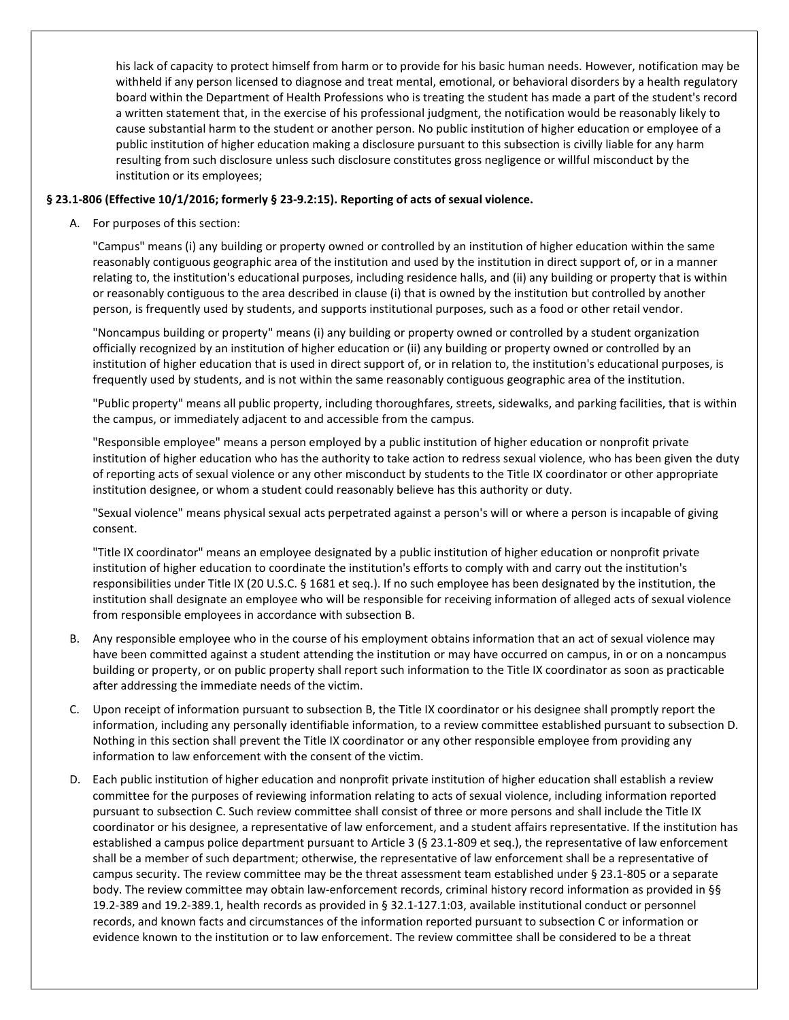his lack of capacity to protect himself from harm or to provide for his basic human needs. However, notification may be withheld if any person licensed to diagnose and treat mental, emotional, or behavioral disorders by a health regulatory board within the Department of Health Professions who is treating the student has made a part of the student's record a written statement that, in the exercise of his professional judgment, the notification would be reasonably likely to cause substantial harm to the student or another person. No public institution of higher education or employee of a public institution of higher education making a disclosure pursuant to this subsection is civilly liable for any harm resulting from such disclosure unless such disclosure constitutes gross negligence or willful misconduct by the institution or its employees;

#### § 23.1-806 (Effective 10/1/2016; formerly § 23-9.2:15). Reporting of acts of sexual violence.

A. For purposes of this section:

"Campus" means (i) any building or property owned or controlled by an institution of higher education within the same reasonably contiguous geographic area of the institution and used by the institution in direct support of, or in a manner relating to, the institution's educational purposes, including residence halls, and (ii) any building or property that is within or reasonably contiguous to the area described in clause (i) that is owned by the institution but controlled by another person, is frequently used by students, and supports institutional purposes, such as a food or other retail vendor.

"Noncampus building or property" means (i) any building or property owned or controlled by a student organization officially recognized by an institution of higher education or (ii) any building or property owned or controlled by an institution of higher education that is used in direct support of, or in relation to, the institution's educational purposes, is frequently used by students, and is not within the same reasonably contiguous geographic area of the institution.

"Public property" means all public property, including thoroughfares, streets, sidewalks, and parking facilities, that is within the campus, or immediately adjacent to and accessible from the campus.

"Responsible employee" means a person employed by a public institution of higher education or nonprofit private institution of higher education who has the authority to take action to redress sexual violence, who has been given the duty of reporting acts of sexual violence or any other misconduct by students to the Title IX coordinator or other appropriate institution designee, or whom a student could reasonably believe has this authority or duty.

"Sexual violence" means physical sexual acts perpetrated against a person's will or where a person is incapable of giving consent.

"Title IX coordinator" means an employee designated by a public institution of higher education or nonprofit private institution of higher education to coordinate the institution's efforts to comply with and carry out the institution's responsibilities under Title IX (20 U.S.C. § 1681 et seq.). If no such employee has been designated by the institution, the institution shall designate an employee who will be responsible for receiving information of alleged acts of sexual violence from responsible employees in accordance with subsection B.

- B. Any responsible employee who in the course of his employment obtains information that an act of sexual violence may have been committed against a student attending the institution or may have occurred on campus, in or on a noncampus building or property, or on public property shall report such information to the Title IX coordinator as soon as practicable after addressing the immediate needs of the victim.
- C. Upon receipt of information pursuant to subsection B, the Title IX coordinator or his designee shall promptly report the information, including any personally identifiable information, to a review committee established pursuant to subsection D. Nothing in this section shall prevent the Title IX coordinator or any other responsible employee from providing any information to law enforcement with the consent of the victim.
- D. Each public institution of higher education and nonprofit private institution of higher education shall establish a review committee for the purposes of reviewing information relating to acts of sexual violence, including information reported pursuant to subsection C. Such review committee shall consist of three or more persons and shall include the Title IX coordinator or his designee, a representative of law enforcement, and a student affairs representative. If the institution has established a campus police department pursuant to Article 3 (§ 23.1-809 et seq.), the representative of law enforcement shall be a member of such department; otherwise, the representative of law enforcement shall be a representative of campus security. The review committee may be the threat assessment team established under § 23.1-805 or a separate body. The review committee may obtain law-enforcement records, criminal history record information as provided in §§ 19.2-389 and 19.2-389.1, health records as provided in § 32.1-127.1:03, available institutional conduct or personnel records, and known facts and circumstances of the information reported pursuant to subsection C or information or evidence known to the institution or to law enforcement. The review committee shall be considered to be a threat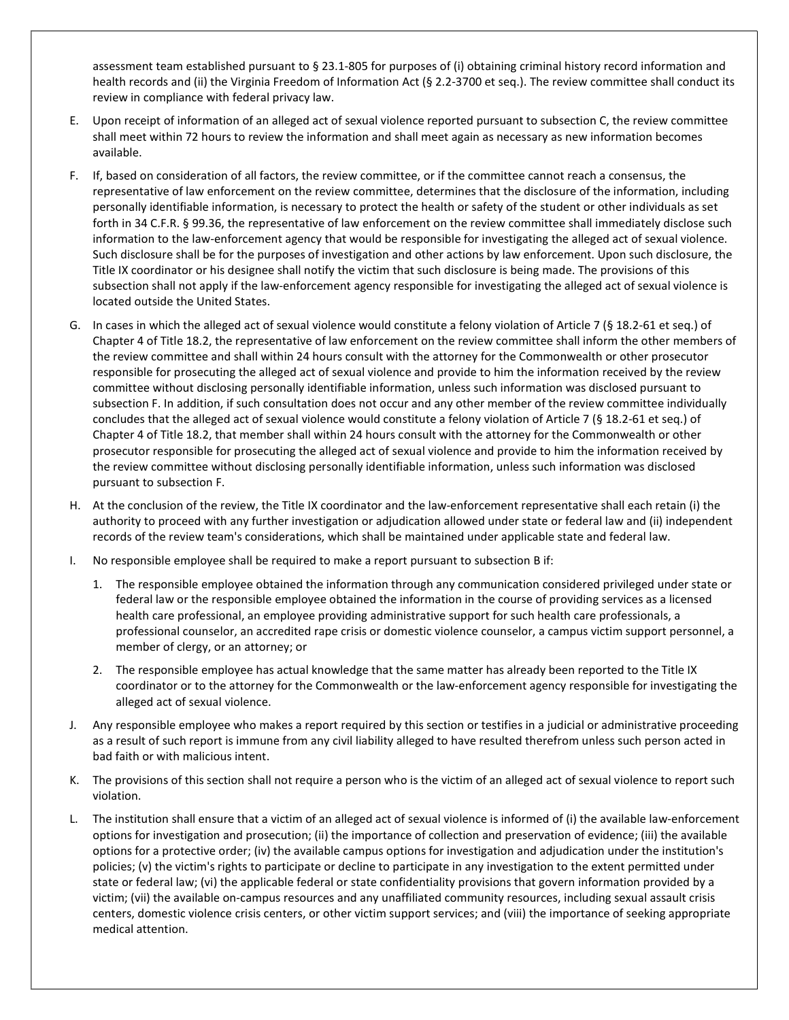assessment team established pursuant to § 23.1-805 for purposes of (i) obtaining criminal history record information and health records and (ii) the Virginia Freedom of Information Act (§ 2.2-3700 et seq.). The review committee shall conduct its review in compliance with federal privacy law.

- E. Upon receipt of information of an alleged act of sexual violence reported pursuant to subsection C, the review committee shall meet within 72 hours to review the information and shall meet again as necessary as new information becomes available.
- F. If, based on consideration of all factors, the review committee, or if the committee cannot reach a consensus, the representative of law enforcement on the review committee, determines that the disclosure of the information, including personally identifiable information, is necessary to protect the health or safety of the student or other individuals as set forth in 34 C.F.R. § 99.36, the representative of law enforcement on the review committee shall immediately disclose such information to the law-enforcement agency that would be responsible for investigating the alleged act of sexual violence. Such disclosure shall be for the purposes of investigation and other actions by law enforcement. Upon such disclosure, the Title IX coordinator or his designee shall notify the victim that such disclosure is being made. The provisions of this subsection shall not apply if the law-enforcement agency responsible for investigating the alleged act of sexual violence is located outside the United States.
- G. In cases in which the alleged act of sexual violence would constitute a felony violation of Article 7 (§ 18.2-61 et seq.) of Chapter 4 of Title 18.2, the representative of law enforcement on the review committee shall inform the other members of the review committee and shall within 24 hours consult with the attorney for the Commonwealth or other prosecutor responsible for prosecuting the alleged act of sexual violence and provide to him the information received by the review committee without disclosing personally identifiable information, unless such information was disclosed pursuant to subsection F. In addition, if such consultation does not occur and any other member of the review committee individually concludes that the alleged act of sexual violence would constitute a felony violation of Article 7 (§ 18.2-61 et seq.) of Chapter 4 of Title 18.2, that member shall within 24 hours consult with the attorney for the Commonwealth or other prosecutor responsible for prosecuting the alleged act of sexual violence and provide to him the information received by the review committee without disclosing personally identifiable information, unless such information was disclosed pursuant to subsection F.
- H. At the conclusion of the review, the Title IX coordinator and the law-enforcement representative shall each retain (i) the authority to proceed with any further investigation or adjudication allowed under state or federal law and (ii) independent records of the review team's considerations, which shall be maintained under applicable state and federal law.
- I. No responsible employee shall be required to make a report pursuant to subsection B if:
	- 1. The responsible employee obtained the information through any communication considered privileged under state or federal law or the responsible employee obtained the information in the course of providing services as a licensed health care professional, an employee providing administrative support for such health care professionals, a professional counselor, an accredited rape crisis or domestic violence counselor, a campus victim support personnel, a member of clergy, or an attorney; or
	- 2. The responsible employee has actual knowledge that the same matter has already been reported to the Title IX coordinator or to the attorney for the Commonwealth or the law-enforcement agency responsible for investigating the alleged act of sexual violence.
- J. Any responsible employee who makes a report required by this section or testifies in a judicial or administrative proceeding as a result of such report is immune from any civil liability alleged to have resulted therefrom unless such person acted in bad faith or with malicious intent.
- K. The provisions of this section shall not require a person who is the victim of an alleged act of sexual violence to report such violation.
- L. The institution shall ensure that a victim of an alleged act of sexual violence is informed of (i) the available law-enforcement options for investigation and prosecution; (ii) the importance of collection and preservation of evidence; (iii) the available options for a protective order; (iv) the available campus options for investigation and adjudication under the institution's policies; (v) the victim's rights to participate or decline to participate in any investigation to the extent permitted under state or federal law; (vi) the applicable federal or state confidentiality provisions that govern information provided by a victim; (vii) the available on-campus resources and any unaffiliated community resources, including sexual assault crisis centers, domestic violence crisis centers, or other victim support services; and (viii) the importance of seeking appropriate medical attention.